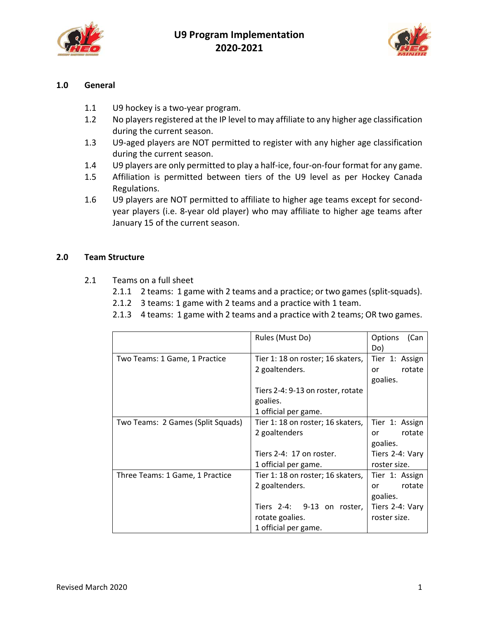



## **1.0 General**

- 1.1 U9 hockey is a two-year program.
- 1.2 No players registered at the IP level to may affiliate to any higher age classification during the current season.
- 1.3 U9‐aged players are NOT permitted to register with any higher age classification during the current season.
- 1.4 U9 players are only permitted to play a half‐ice, four‐on‐four format for any game.
- 1.5 Affiliation is permitted between tiers of the U9 level as per Hockey Canada Regulations.
- 1.6 U9 players are NOT permitted to affiliate to higher age teams except for second‐ year players (i.e. 8‐year old player) who may affiliate to higher age teams after January 15 of the current season.

#### **2.0 Team Structure**

- 2.1 Teams on a full sheet
	- 2.1.1 2 teams: 1 game with 2 teams and a practice; or two games (split-squads).
	- 2.1.2 3 teams: 1 game with 2 teams and a practice with 1 team.
	- 2.1.3 4 teams: 1 game with 2 teams and a practice with 2 teams; OR two games.

|                                   | Rules (Must Do)                   | Options<br>(Can |
|-----------------------------------|-----------------------------------|-----------------|
|                                   |                                   | Do)             |
| Two Teams: 1 Game, 1 Practice     | Tier 1: 18 on roster; 16 skaters, | Tier 1: Assign  |
|                                   | 2 goaltenders.                    | rotate<br>or    |
|                                   |                                   | goalies.        |
|                                   | Tiers 2-4: 9-13 on roster, rotate |                 |
|                                   | goalies.                          |                 |
|                                   | 1 official per game.              |                 |
| Two Teams: 2 Games (Split Squads) | Tier 1: 18 on roster; 16 skaters, | Tier 1: Assign  |
|                                   | 2 goaltenders                     | rotate<br>or    |
|                                   |                                   | goalies.        |
|                                   | Tiers 2-4: 17 on roster.          | Tiers 2-4: Vary |
|                                   | 1 official per game.              | roster size.    |
| Three Teams: 1 Game, 1 Practice   | Tier 1: 18 on roster; 16 skaters, | Tier 1: Assign  |
|                                   | 2 goaltenders.                    | rotate<br>or    |
|                                   |                                   | goalies.        |
|                                   | Tiers 2-4: 9-13 on roster,        | Tiers 2-4: Vary |
|                                   | rotate goalies.                   | roster size.    |
|                                   | 1 official per game.              |                 |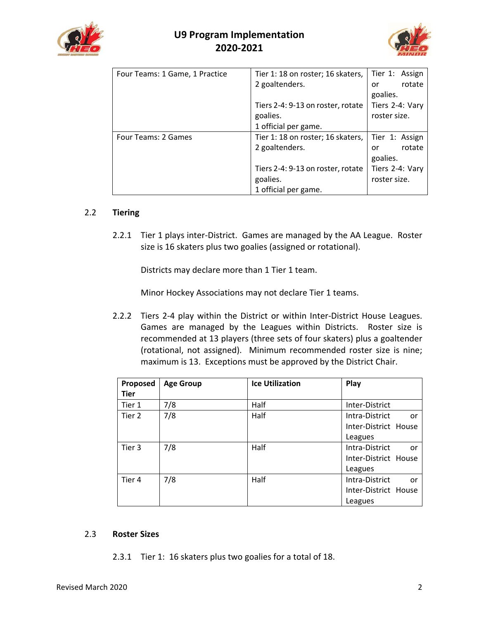



| Four Teams: 1 Game, 1 Practice | Tier 1: 18 on roster; 16 skaters, | Tier 1: Assign  |
|--------------------------------|-----------------------------------|-----------------|
|                                | 2 goaltenders.                    | rotate<br>or    |
|                                |                                   | goalies.        |
|                                | Tiers 2-4: 9-13 on roster, rotate | Tiers 2-4: Vary |
|                                | goalies.                          | roster size.    |
|                                | 1 official per game.              |                 |
| Four Teams: 2 Games            | Tier 1: 18 on roster; 16 skaters, | Tier 1: Assign  |
|                                | 2 goaltenders.                    | rotate<br>or    |
|                                |                                   | goalies.        |
|                                | Tiers 2-4: 9-13 on roster, rotate | Tiers 2-4: Vary |
|                                | goalies.                          | roster size.    |
|                                | 1 official per game.              |                 |

## 2.2 **Tiering**

2.2.1 Tier 1 plays inter‐District. Games are managed by the AA League. Roster size is 16 skaters plus two goalies (assigned or rotational).

Districts may declare more than 1 Tier 1 team.

Minor Hockey Associations may not declare Tier 1 teams.

2.2.2 Tiers 2-4 play within the District or within Inter-District House Leagues. Games are managed by the Leagues within Districts. Roster size is recommended at 13 players (three sets of four skaters) plus a goaltender (rotational, not assigned). Minimum recommended roster size is nine; maximum is 13. Exceptions must be approved by the District Chair.

| Proposed    | <b>Age Group</b> | <b>Ice Utilization</b> | Play                 |
|-------------|------------------|------------------------|----------------------|
| <b>Tier</b> |                  |                        |                      |
| Tier 1      | 7/8              | Half                   | Inter-District       |
| Tier 2      | 7/8              | Half                   | Intra-District<br>or |
|             |                  |                        | Inter-District House |
|             |                  |                        | Leagues              |
| Tier 3      | 7/8              | Half                   | Intra-District<br>or |
|             |                  |                        | Inter-District House |
|             |                  |                        | Leagues              |
| Tier 4      | 7/8              | Half                   | Intra-District<br>or |
|             |                  |                        | Inter-District House |
|             |                  |                        | Leagues              |

## 2.3 **Roster Sizes**

2.3.1 Tier 1: 16 skaters plus two goalies for a total of 18.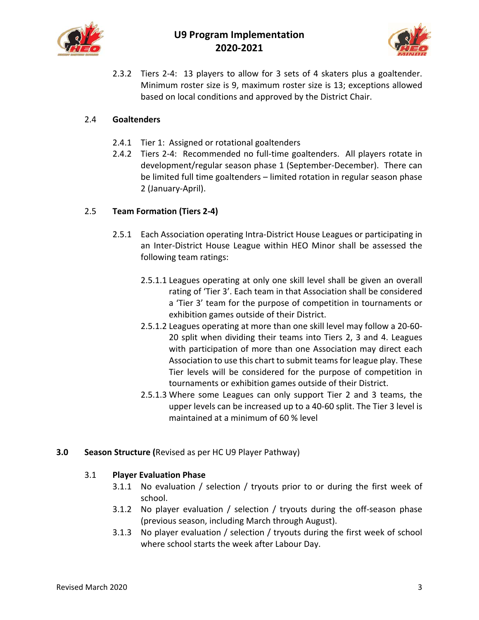



2.3.2 Tiers 2-4: 13 players to allow for 3 sets of 4 skaters plus a goaltender. Minimum roster size is 9, maximum roster size is 13; exceptions allowed based on local conditions and approved by the District Chair.

## 2.4 **Goaltenders**

- 2.4.1 Tier 1: Assigned or rotational goaltenders
- 2.4.2 Tiers 2‐4: Recommended no full‐time goaltenders. All players rotate in development/regular season phase 1 (September‐December). There can be limited full time goaltenders – limited rotation in regular season phase 2 (January‐April).

## 2.5 **Team Formation (Tiers 2‐4)**

- 2.5.1 Each Association operating Intra-District House Leagues or participating in an Inter‐District House League within HEO Minor shall be assessed the following team ratings:
	- 2.5.1.1 Leagues operating at only one skill level shall be given an overall rating of 'Tier 3'. Each team in that Association shall be considered a 'Tier 3' team for the purpose of competition in tournaments or exhibition games outside of their District.
	- 2.5.1.2 Leagues operating at more than one skill level may follow a 20‐60‐ 20 split when dividing their teams into Tiers 2, 3 and 4. Leagues with participation of more than one Association may direct each Association to use this chart to submit teams for league play. These Tier levels will be considered for the purpose of competition in tournaments or exhibition games outside of their District.
	- 2.5.1.3 Where some Leagues can only support Tier 2 and 3 teams, the upper levels can be increased up to a 40‐60 split. The Tier 3 level is maintained at a minimum of 60 % level
- **3.0 Season Structure (**Revised as per HC U9 Player Pathway)

## 3.1 **Player Evaluation Phase**

- 3.1.1 No evaluation / selection / tryouts prior to or during the first week of school.
- 3.1.2 No player evaluation / selection / tryouts during the off-season phase (previous season, including March through August).
- 3.1.3 No player evaluation / selection / tryouts during the first week of school where school starts the week after Labour Day.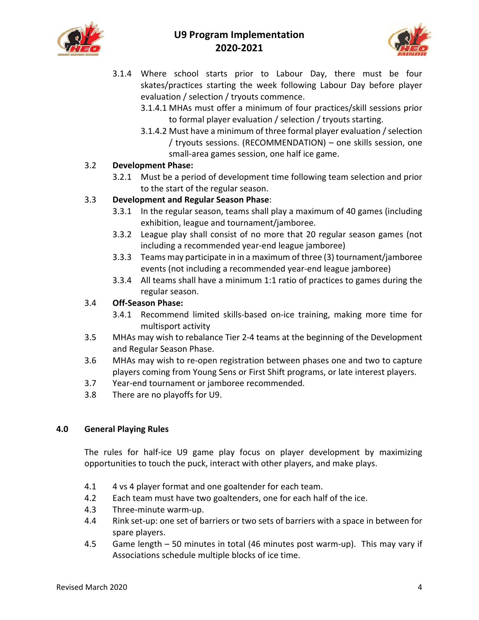



- 3.1.4 Where school starts prior to Labour Day, there must be four skates/practices starting the week following Labour Day before player evaluation / selection / tryouts commence.
	- 3.1.4.1 MHAs must offer a minimum of four practices/skill sessions prior to formal player evaluation / selection / tryouts starting.
	- 3.1.4.2 Must have a minimum of three formal player evaluation / selection / tryouts sessions. (RECOMMENDATION) – one skills session, one small‐area games session, one half ice game.

## 3.2 **Development Phase:**

3.2.1 Must be a period of development time following team selection and prior to the start of the regular season.

## 3.3 **Development and Regular Season Phase**:

- 3.3.1 In the regular season, teams shall play a maximum of 40 games (including exhibition, league and tournament/jamboree.
- 3.3.2 League play shall consist of no more that 20 regular season games (not including a recommended year-end league jamboree)
- 3.3.3 Teams may participate in in a maximum of three (3) tournament/jamboree events (not including a recommended year-end league jamboree)
- 3.3.4 All teams shall have a minimum 1:1 ratio of practices to games during the regular season.

## 3.4 **Off‐Season Phase:**

- 3.4.1 Recommend limited skills‐based on‐ice training, making more time for multisport activity
- 3.5 MHAs may wish to rebalance Tier 2‐4 teams at the beginning of the Development and Regular Season Phase.
- 3.6 MHAs may wish to re‐open registration between phases one and two to capture players coming from Young Sens or First Shift programs, or late interest players.
- 3.7 Year‐end tournament or jamboree recommended.
- 3.8 There are no playoffs for U9.

## **4.0 General Playing Rules**

The rules for half-ice U9 game play focus on player development by maximizing opportunities to touch the puck, interact with other players, and make plays.

- 4.1 4 vs 4 player format and one goaltender for each team.
- 4.2 Each team must have two goaltenders, one for each half of the ice.
- 4.3 Three‐minute warm‐up.
- 4.4 Rink set-up: one set of barriers or two sets of barriers with a space in between for spare players.
- 4.5 Game length 50 minutes in total (46 minutes post warm‐up). This may vary if Associations schedule multiple blocks of ice time.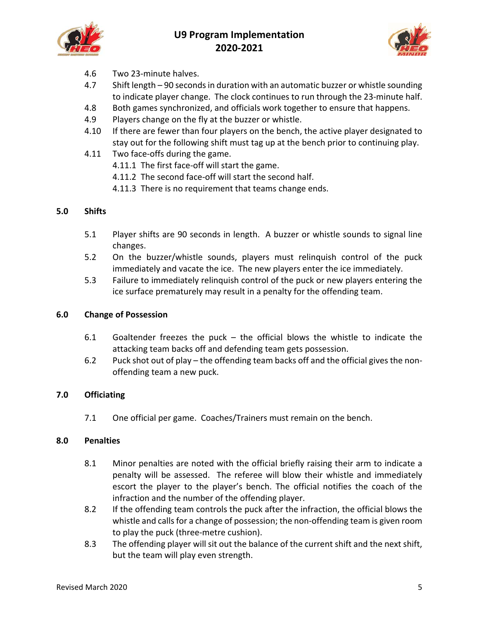



- 4.6 Two 23‐minute halves.
- 4.7 Shift length 90 seconds in duration with an automatic buzzer or whistle sounding to indicate player change. The clock continues to run through the 23‐minute half.
- 4.8 Both games synchronized, and officials work together to ensure that happens.
- 4.9 Players change on the fly at the buzzer or whistle.
- 4.10 If there are fewer than four players on the bench, the active player designated to stay out for the following shift must tag up at the bench prior to continuing play.
- 4.11 Two face-offs during the game.
	- 4.11.1 The first face-off will start the game.
	- 4.11.2 The second face‐off will start the second half.
	- 4.11.3 There is no requirement that teams change ends.

## **5.0 Shifts**

- 5.1 Player shifts are 90 seconds in length. A buzzer or whistle sounds to signal line changes.
- 5.2 On the buzzer/whistle sounds, players must relinquish control of the puck immediately and vacate the ice. The new players enter the ice immediately.
- 5.3 Failure to immediately relinquish control of the puck or new players entering the ice surface prematurely may result in a penalty for the offending team.

#### **6.0 Change of Possession**

- 6.1 Goaltender freezes the puck  $-$  the official blows the whistle to indicate the attacking team backs off and defending team gets possession.
- 6.2 Puck shot out of play the offending team backs off and the official gives the non‐ offending team a new puck.

## **7.0 Officiating**

7.1 One official per game. Coaches/Trainers must remain on the bench.

#### **8.0 Penalties**

- 8.1 Minor penalties are noted with the official briefly raising their arm to indicate a penalty will be assessed. The referee will blow their whistle and immediately escort the player to the player's bench. The official notifies the coach of the infraction and the number of the offending player.
- 8.2 If the offending team controls the puck after the infraction, the official blows the whistle and calls for a change of possession; the non-offending team is given room to play the puck (three‐metre cushion).
- 8.3 The offending player will sit out the balance of the current shift and the next shift, but the team will play even strength.